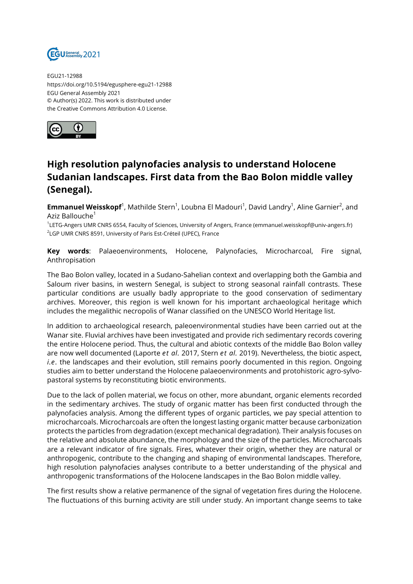

EGU21-12988 https://doi.org/10.5194/egusphere-egu21-12988 EGU General Assembly 2021 © Author(s) 2022. This work is distributed under the Creative Commons Attribution 4.0 License.



## **High resolution palynofacies analysis to understand Holocene Sudanian landscapes. First data from the Bao Bolon middle valley (Senegal).**

**Emmanuel Weisskopf**<sup>1</sup>, Mathilde Stern<sup>1</sup>, Loubna El Madouri<sup>1</sup>, David Landry<sup>1</sup>, Aline Garnier<sup>2</sup>, and Aziz Ballouche<sup>1</sup>

1 LETG-Angers UMR CNRS 6554, Faculty of Sciences, University of Angers, France (emmanuel.weisskopf@univ-angers.fr) 2 LGP UMR CNRS 8591, University of Paris Est-Créteil (UPEC), France

**Key words**: Palaeoenvironments, Holocene, Palynofacies, Microcharcoal, Fire signal, Anthropisation

The Bao Bolon valley, located in a Sudano-Sahelian context and overlapping both the Gambia and Saloum river basins, in western Senegal, is subject to strong seasonal rainfall contrasts. These particular conditions are usually badly appropriate to the good conservation of sedimentary archives. Moreover, this region is well known for his important archaeological heritage which includes the megalithic necropolis of Wanar classified on the UNESCO World Heritage list.

In addition to archaeological research, paleoenvironmental studies have been carried out at the Wanar site. Fluvial archives have been investigated and provide rich sedimentary records covering the entire Holocene period. Thus, the cultural and abiotic contexts of the middle Bao Bolon valley are now well documented (Laporte *et al.* 2017, Stern *et al.* 2019). Nevertheless, the biotic aspect, *i.e.* the landscapes and their evolution, still remains poorly documented in this region. Ongoing studies aim to better understand the Holocene palaeoenvironments and protohistoric agro-sylvopastoral systems by reconstituting biotic environments.

Due to the lack of pollen material, we focus on other, more abundant, organic elements recorded in the sedimentary archives. The study of organic matter has been first conducted through the palynofacies analysis. Among the different types of organic particles, we pay special attention to microcharcoals. Microcharcoals are often the longest lasting organic matter because carbonization protects the particles from degradation (except mechanical degradation). Their analysis focuses on the relative and absolute abundance, the morphology and the size of the particles. Microcharcoals are a relevant indicator of fire signals. Fires, whatever their origin, whether they are natural or anthropogenic, contribute to the changing and shaping of environmental landscapes. Therefore, high resolution palynofacies analyses contribute to a better understanding of the physical and anthropogenic transformations of the Holocene landscapes in the Bao Bolon middle valley.

The first results show a relative permanence of the signal of vegetation fires during the Holocene. The fluctuations of this burning activity are still under study. An important change seems to take